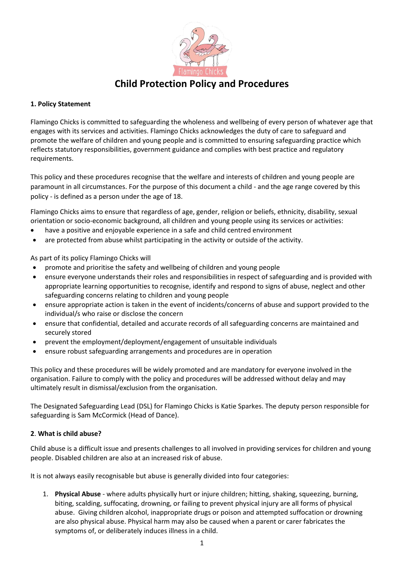

# **Child Protection Policy and Procedures**

## **1. Policy Statement**

Flamingo Chicks is committed to safeguarding the wholeness and wellbeing of every person of whatever age that engages with its services and activities. Flamingo Chicks acknowledges the duty of care to safeguard and promote the welfare of children and young people and is committed to ensuring safeguarding practice which reflects statutory responsibilities, government guidance and complies with best practice and regulatory requirements.

This policy and these procedures recognise that the welfare and interests of children and young people are paramount in all circumstances. For the purpose of this document a child - and the age range covered by this policy - is defined as a person under the age of 18.

Flamingo Chicks aims to ensure that regardless of age, gender, religion or beliefs, ethnicity, disability, sexual orientation or socio-economic background, all children and young people using its services or activities:

- have a positive and enjoyable experience in a safe and child centred environment
- are protected from abuse whilst participating in the activity or outside of the activity.

As part of its policy Flamingo Chicks will

- promote and prioritise the safety and wellbeing of children and young people
- ensure everyone understands their roles and responsibilities in respect of safeguarding and is provided with appropriate learning opportunities to recognise, identify and respond to signs of abuse, neglect and other safeguarding concerns relating to children and young people
- ensure appropriate action is taken in the event of incidents/concerns of abuse and support provided to the individual/s who raise or disclose the concern
- ensure that confidential, detailed and accurate records of all safeguarding concerns are maintained and securely stored
- prevent the employment/deployment/engagement of unsuitable individuals
- ensure robust safeguarding arrangements and procedures are in operation

This policy and these procedures will be widely promoted and are mandatory for everyone involved in the organisation. Failure to comply with the policy and procedures will be addressed without delay and may ultimately result in dismissal/exclusion from the organisation.

The Designated Safeguarding Lead (DSL) for Flamingo Chicks is Katie Sparkes. The deputy person responsible for safeguarding is Sam McCormick (Head of Dance).

#### **2**. **What is child abuse?**

Child abuse is a difficult issue and presents challenges to all involved in providing services for children and young people. Disabled children are also at an increased risk of abuse.

It is not always easily recognisable but abuse is generally divided into four categories:

1. **Physical Abuse** - where adults physically hurt or injure children; hitting, shaking, squeezing, burning, biting, scalding, suffocating, drowning, or failing to prevent physical injury are all forms of physical abuse. Giving children alcohol, inappropriate drugs or poison and attempted suffocation or drowning are also physical abuse. Physical harm may also be caused when a parent or carer fabricates the symptoms of, or deliberately induces illness in a child.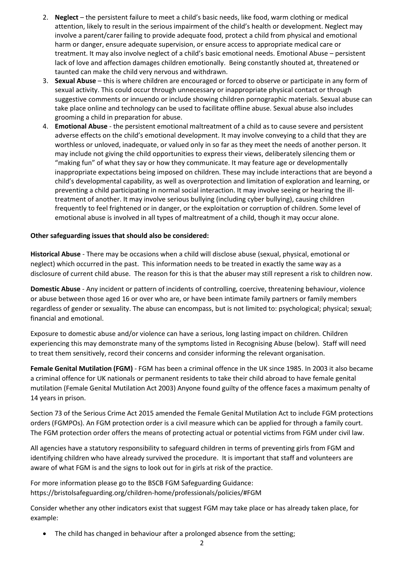- 2. **Neglect**  the persistent failure to meet a child's basic needs, like food, warm clothing or medical attention, likely to result in the serious impairment of the child's health or development. Neglect may involve a parent/carer failing to provide adequate food, protect a child from physical and emotional harm or danger, ensure adequate supervision, or ensure access to appropriate medical care or treatment. It may also involve neglect of a child's basic emotional needs. Emotional Abuse – persistent lack of love and affection damages children emotionally. Being constantly shouted at, threatened or taunted can make the child very nervous and withdrawn.
- 3. **Sexual Abuse** this is where children are encouraged or forced to observe or participate in any form of sexual activity. This could occur through unnecessary or inappropriate physical contact or through suggestive comments or innuendo or include showing children pornographic materials. Sexual abuse can take place online and technology can be used to facilitate offline abuse. Sexual abuse also includes grooming a child in preparation for abuse.
- 4. **Emotional Abuse** the persistent emotional maltreatment of a child as to cause severe and persistent adverse effects on the child's emotional development. It may involve conveying to a child that they are worthless or unloved, inadequate, or valued only in so far as they meet the needs of another person. It may include not giving the child opportunities to express their views, deliberately silencing them or "making fun" of what they say or how they communicate. It may feature age or developmentally inappropriate expectations being imposed on children. These may include interactions that are beyond a child's developmental capability, as well as overprotection and limitation of exploration and learning, or preventing a child participating in normal social interaction. It may involve seeing or hearing the illtreatment of another. It may involve serious bullying (including cyber bullying), causing children frequently to feel frightened or in danger, or the exploitation or corruption of children. Some level of emotional abuse is involved in all types of maltreatment of a child, though it may occur alone.

## **Other safeguarding issues that should also be considered:**

**Historical Abuse** - There may be occasions when a child will disclose abuse (sexual, physical, emotional or neglect) which occurred in the past. This information needs to be treated in exactly the same way as a disclosure of current child abuse. The reason for this is that the abuser may still represent a risk to children now.

**Domestic Abuse** - Any incident or pattern of incidents of controlling, coercive, threatening behaviour, violence or abuse between those aged 16 or over who are, or have been intimate family partners or family members regardless of gender or sexuality. The abuse can encompass, but is not limited to: psychological; physical; sexual; financial and emotional.

Exposure to domestic abuse and/or violence can have a serious, long lasting impact on children. Children experiencing this may demonstrate many of the symptoms listed in Recognising Abuse (below). Staff will need to treat them sensitively, record their concerns and consider informing the relevant organisation.

**Female Genital Mutilation (FGM)** - FGM has been a criminal offence in the UK since 1985. In 2003 it also became a criminal offence for UK nationals or permanent residents to take their child abroad to have female genital mutilation (Female Genital Mutilation Act 2003) Anyone found guilty of the offence faces a maximum penalty of 14 years in prison.

Section 73 of the Serious Crime Act 2015 amended the Female Genital Mutilation Act to include FGM protections orders (FGMPOs). An FGM protection order is a civil measure which can be applied for through a family court. The FGM protection order offers the means of protecting actual or potential victims from FGM under civil law.

All agencies have a statutory responsibility to safeguard children in terms of preventing girls from FGM and identifying children who have already survived the procedure. It is important that staff and volunteers are aware of what FGM is and the signs to look out for in girls at risk of the practice.

For more information please go to the BSCB FGM Safeguarding Guidance: <https://bristolsafeguarding.org/children-home/professionals/policies/#FGM>

Consider whether any other indicators exist that suggest FGM may take place or has already taken place, for example:

• The child has changed in behaviour after a prolonged absence from the setting;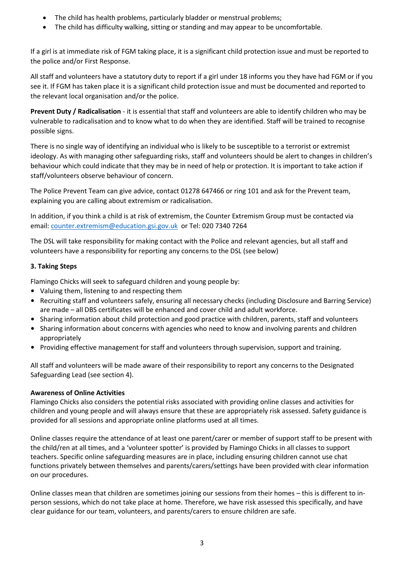- The child has health problems, particularly bladder or menstrual problems;
- The child has difficulty walking, sitting or standing and may appear to be uncomfortable.

If a girl is at immediate risk of FGM taking place, it is a significant child protection issue and must be reported to the police and/or First Response.

All staff and volunteers have a statutory duty to report if a girl under 18 informs you they have had FGM or if you see it. If FGM has taken place it is a significant child protection issue and must be documented and reported to the relevant local organisation and/or the police.

**Prevent Duty / Radicalisation** - it is essential that staff and volunteers are able to identify children who may be vulnerable to radicalisation and to know what to do when they are identified. Staff will be trained to recognise possible signs.

There is no single way of identifying an individual who is likely to be susceptible to a terrorist or extremist ideology. As with managing other safeguarding risks, staff and volunteers should be alert to changes in children's behaviour which could indicate that they may be in need of help or protection. It is important to take action if staff/volunteers observe behaviour of concern.

The Police Prevent Team can give advice, contact 01278 647466 or ring 101 and ask for the Prevent team, explaining you are calling about extremism or radicalisation.

In addition, if you think a child is at risk of extremism, the Counter Extremism Group must be contacted via email: [counter.extremism@education.gsi.gov.uk](mailto:counter.extremism@education.gsi.gov.uk) or Tel: 020 7340 7264

The DSL will take responsibility for making contact with the Police and relevant agencies, but all staff and volunteers have a responsibility for reporting any concerns to the DSL (see below)

# **3. Taking Steps**

Flamingo Chicks will seek to safeguard children and young people by:

- Valuing them, listening to and respecting them
- Recruiting staff and volunteers safely, ensuring all necessary checks (including Disclosure and Barring Service) are made – all DBS certificates will be enhanced and cover child and adult workforce.
- Sharing information about child protection and good practice with children, parents, staff and volunteers
- Sharing information about concerns with agencies who need to know and involving parents and children appropriately
- Providing effective management for staff and volunteers through supervision, support and training.

All staff and volunteers will be made aware of their responsibility to report any concerns to the Designated Safeguarding Lead (see section 4).

# **Awareness of Online Activities**

Flamingo Chicks also considers the potential risks associated with providing online classes and activities for children and young people and will always ensure that these are appropriately risk assessed. Safety guidance is provided for all sessions and appropriate online platforms used at all times.

Online classes require the attendance of at least one parent/carer or member of support staff to be present with the child/ren at all times, and a 'volunteer spotter' is provided by Flamingo Chicks in all classes to support teachers. Specific online safeguarding measures are in place, including ensuring children cannot use chat functions privately between themselves and parents/carers/settings have been provided with clear information on our procedures.

Online classes mean that children are sometimes joining our sessions from their homes – this is different to inperson sessions, which do not take place at home. Therefore, we have risk assessed this specifically, and have clear guidance for our team, volunteers, and parents/carers to ensure children are safe.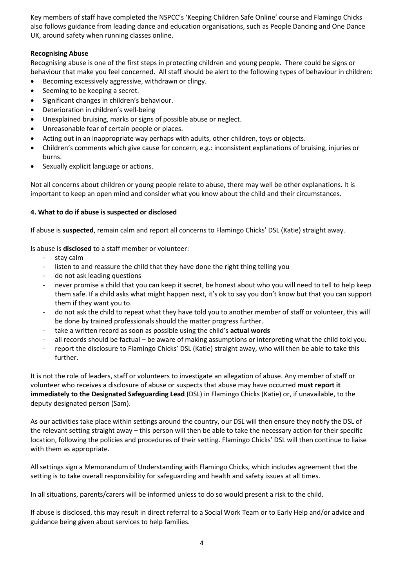Key members of staff have completed the NSPCC's 'Keeping Children Safe Online' course and Flamingo Chicks also follows guidance from leading dance and education organisations, such as People Dancing and One Dance UK, around safety when running classes online.

## **Recognising Abuse**

Recognising abuse is one of the first steps in protecting children and young people. There could be signs or behaviour that make you feel concerned. All staff should be alert to the following types of behaviour in children:

- Becoming excessively aggressive, withdrawn or clingy.
- Seeming to be keeping a secret.
- Significant changes in children's behaviour.
- Deterioration in children's well-being
- Unexplained bruising, marks or signs of possible abuse or neglect.
- Unreasonable fear of certain people or places.
- Acting out in an inappropriate way perhaps with adults, other children, toys or objects.
- Children's comments which give cause for concern, e.g.: inconsistent explanations of bruising, injuries or burns.
- Sexually explicit language or actions.

Not all concerns about children or young people relate to abuse, there may well be other explanations. It is important to keep an open mind and consider what you know about the child and their circumstances.

#### **4. What to do if abuse is suspected or disclosed**

If abuse is **suspected**, remain calm and report all concerns to Flamingo Chicks' DSL (Katie) straight away.

Is abuse is **disclosed** to a staff member or volunteer:

- stay calm
- listen to and reassure the child that they have done the right thing telling you
- do not ask leading questions
- never promise a child that you can keep it secret, be honest about who you will need to tell to help keep them safe. If a child asks what might happen next, it's ok to say you don't know but that you can support them if they want you to.
- do not ask the child to repeat what they have told you to another member of staff or volunteer, this will be done by trained professionals should the matter progress further.
- take a written record as soon as possible using the child's **actual words**
- all records should be factual be aware of making assumptions or interpreting what the child told you.
- report the disclosure to Flamingo Chicks' DSL (Katie) straight away, who will then be able to take this further.

It is not the role of leaders, staff or volunteers to investigate an allegation of abuse. Any member of staff or volunteer who receives a disclosure of abuse or suspects that abuse may have occurred **must report it immediately to the Designated Safeguarding Lead** (DSL) in Flamingo Chicks (Katie) or, if unavailable, to the deputy designated person (Sam).

As our activities take place within settings around the country, our DSL will then ensure they notify the DSL of the relevant setting straight away – this person will then be able to take the necessary action for their specific location, following the policies and procedures of their setting. Flamingo Chicks' DSL will then continue to liaise with them as appropriate.

All settings sign a Memorandum of Understanding with Flamingo Chicks, which includes agreement that the setting is to take overall responsibility for safeguarding and health and safety issues at all times.

In all situations, parents/carers will be informed unless to do so would present a risk to the child.

If abuse is disclosed, this may result in direct referral to a Social Work Team or to Early Help and/or advice and guidance being given about services to help families.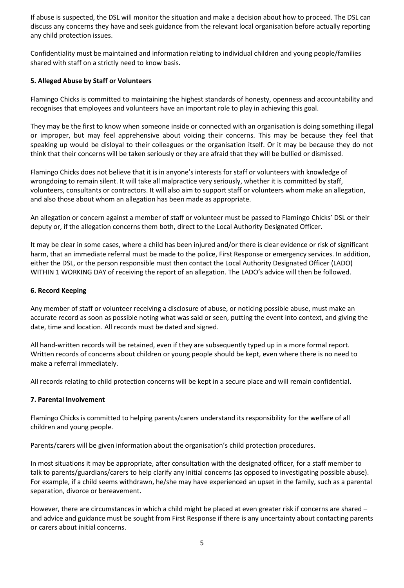If abuse is suspected, the DSL will monitor the situation and make a decision about how to proceed. The DSL can discuss any concerns they have and seek guidance from the relevant local organisation before actually reporting any child protection issues.

Confidentiality must be maintained and information relating to individual children and young people/families shared with staff on a strictly need to know basis.

## **5. Alleged Abuse by Staff or Volunteers**

Flamingo Chicks is committed to maintaining the highest standards of honesty, openness and accountability and recognises that employees and volunteers have an important role to play in achieving this goal.

They may be the first to know when someone inside or connected with an organisation is doing something illegal or improper, but may feel apprehensive about voicing their concerns. This may be because they feel that speaking up would be disloyal to their colleagues or the organisation itself. Or it may be because they do not think that their concerns will be taken seriously or they are afraid that they will be bullied or dismissed.

Flamingo Chicks does not believe that it is in anyone's interests for staff or volunteers with knowledge of wrongdoing to remain silent. It will take all malpractice very seriously, whether it is committed by staff, volunteers, consultants or contractors. It will also aim to support staff or volunteers whom make an allegation, and also those about whom an allegation has been made as appropriate.

An allegation or concern against a member of staff or volunteer must be passed to Flamingo Chicks' DSL or their deputy or, if the allegation concerns them both, direct to the Local Authority Designated Officer.

It may be clear in some cases, where a child has been injured and/or there is clear evidence or risk of significant harm, that an immediate referral must be made to the police, First Response or emergency services. In addition, either the DSL, or the person responsible must then contact the Local Authority Designated Officer (LADO) WITHIN 1 WORKING DAY of receiving the report of an allegation. The LADO's advice will then be followed.

## **6. Record Keeping**

Any member of staff or volunteer receiving a disclosure of abuse, or noticing possible abuse, must make an accurate record as soon as possible noting what was said or seen, putting the event into context, and giving the date, time and location. All records must be dated and signed.

All hand-written records will be retained, even if they are subsequently typed up in a more formal report. Written records of concerns about children or young people should be kept, even where there is no need to make a referral immediately.

All records relating to child protection concerns will be kept in a secure place and will remain confidential.

#### **7. Parental Involvement**

Flamingo Chicks is committed to helping parents/carers understand its responsibility for the welfare of all children and young people.

Parents/carers will be given information about the organisation's child protection procedures.

In most situations it may be appropriate, after consultation with the designated officer, for a staff member to talk to parents/guardians/carers to help clarify any initial concerns (as opposed to investigating possible abuse). For example, if a child seems withdrawn, he/she may have experienced an upset in the family, such as a parental separation, divorce or bereavement.

However, there are circumstances in which a child might be placed at even greater risk if concerns are shared – and advice and guidance must be sought from First Response if there is any uncertainty about contacting parents or carers about initial concerns.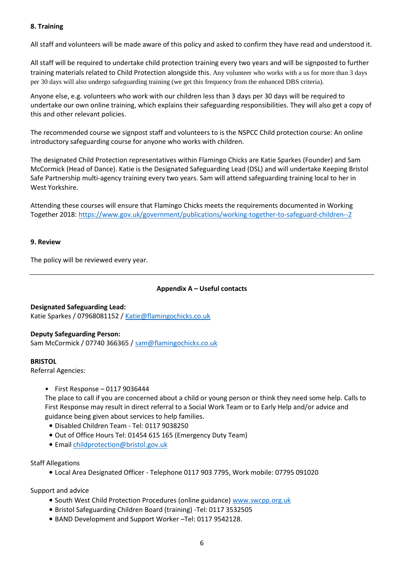## **8. Training**

All staff and volunteers will be made aware of this policy and asked to confirm they have read and understood it.

All staff will be required to undertake child protection training every two years and will be signposted to further training materials related to Child Protection alongside this. Any volunteer who works with a us for more than 3 days per 30 days will also undergo safeguarding training (we get this frequency from the enhanced DBS criteria).

Anyone else, e.g. volunteers who work with our children less than 3 days per 30 days will be required to undertake our own online training, which explains their safeguarding responsibilities. They will also get a copy of this and other relevant policies.

The recommended course we signpost staff and volunteers to is the NSPCC Child protection course: An online introductory safeguarding course for anyone who works with children.

The designated Child Protection representatives within Flamingo Chicks are Katie Sparkes (Founder) and Sam McCormick (Head of Dance). Katie is the Designated Safeguarding Lead (DSL) and will undertake Keeping Bristol Safe Partnership multi-agency training every two years. Sam will attend safeguarding training local to her in West Yorkshire.

Attending these courses will ensure that Flamingo Chicks meets the requirements documented in Working Together 2018: <https://www.gov.uk/government/publications/working-together-to-safeguard-children--2>

## **9. Review**

The policy will be reviewed every year.

# **Appendix A – Useful contacts**

**Designated Safeguarding Lead:** Katie Sparkes / 07968081152 / [Katie@flamingochicks.co.uk](mailto:Katie@flamingochicks.co.uk)

#### **Deputy Safeguarding Person:**

Sam McCormick / 07740 366365 / [sam@flamingochicks.co.uk](mailto:sam@flamingochicks.co.uk)

#### **BRISTOL**

Referral Agencies:

 $\bullet$  First Response - 0117 9036444

The place to call if you are concerned about a child or young person or think they need some help. Calls to First Response may result in direct referral to a Social Work Team or to Early Help and/or advice and guidance being given about services to help families.

- Disabled Children Team Tel: 0117 9038250
- Out of Office Hours Tel: 01454 615 165 (Emergency Duty Team)
- Email [childprotection@bristol.gov.uk](mailto:childprotection@bristol.gov.uk)

#### Staff Allegations

• Local Area Designated Officer - Telephone 0117 903 7795, Work mobile: 07795 091020

Support and advice

- South West Child Protection Procedures (online guidance[\) www.swcpp.org.uk](http://www.swcpp.org.uk/)
- Bristol Safeguarding Children Board (training) -Tel: 0117 3532505
- BAND Development and Support Worker –Tel: 0117 9542128.